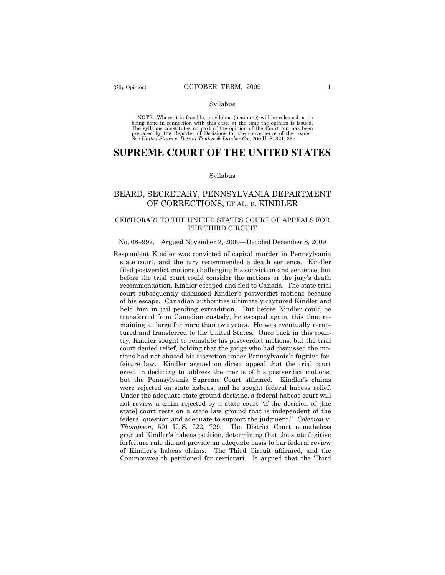#### Syllabus

NOTE: Where it is feasible, a syllabus (headnote) will be released, as is being done in connection with this case, at the time the opinion is issued. The syllabus constitutes no part of the opinion of the Court but has been<br>prepared by the Reporter of Decisions for the convenience of the reader.<br>See United States v. Detroit Timber & Lumber Co., 200 U. S. 321, 337.

# **SUPREME COURT OF THE UNITED STATES**

#### Syllabus

## BEARD, SECRETARY, PENNSYLVANIA DEPARTMENT OF CORRECTIONS, ET AL. *v*. KINDLER

## CERTIORARI TO THE UNITED STATES COURT OF APPEALS FOR THE THIRD CIRCUIT

#### No. 08–992. Argued November 2, 2009—Decided December 8, 2009

Respondent Kindler was convicted of capital murder in Pennsylvania state court, and the jury recommended a death sentence. Kindler filed postverdict motions challenging his conviction and sentence, but before the trial court could consider the motions or the jury's death recommendation, Kindler escaped and fled to Canada. The state trial court subsequently dismissed Kindler's postverdict motions because of his escape. Canadian authorities ultimately captured Kindler and held him in jail pending extradition. But before Kindler could be transferred from Canadian custody, he escaped again, this time remaining at large for more than two years. He was eventually recaptured and transferred to the United States. Once back in this country, Kindler sought to reinstate his postverdict motions, but the trial court denied relief, holding that the judge who had dismissed the motions had not abused his discretion under Pennsylvania's fugitive forfeiture law. Kindler argued on direct appeal that the trial court erred in declining to address the merits of his postverdict motions, but the Pennsylvania Supreme Court affirmed. Kindler's claims were rejected on state habeas, and he sought federal habeas relief. Under the adequate state ground doctrine, a federal habeas court will not review a claim rejected by a state court "if the decision of [the state] court rests on a state law ground that is independent of the federal question and adequate to support the judgment." *Coleman* v. *Thompson*, 501 U. S. 722, 729. The District Court nonetheless granted Kindler's habeas petition, determining that the state fugitive forfeiture rule did not provide an adequate basis to bar federal review of Kindler's habeas claims. The Third Circuit affirmed, and the Commonwealth petitioned for certiorari. It argued that the Third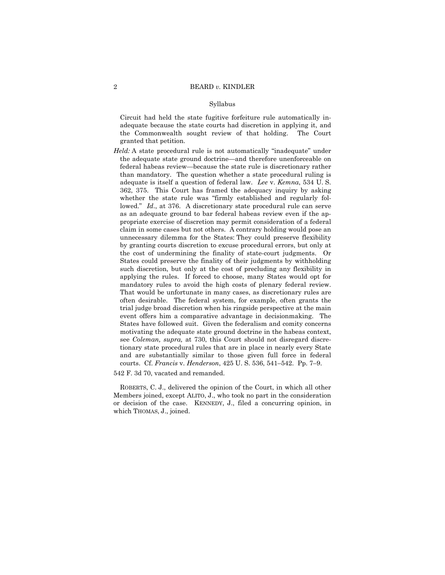#### Syllabus

Circuit had held the state fugitive forfeiture rule automatically inadequate because the state courts had discretion in applying it, and the Commonwealth sought review of that holding. The Court granted that petition.

*Held:* A state procedural rule is not automatically "inadequate" under the adequate state ground doctrine—and therefore unenforceable on federal habeas review—because the state rule is discretionary rather than mandatory. The question whether a state procedural ruling is adequate is itself a question of federal law. *Lee* v. *Kemna*, 534 U. S. 362, 375. This Court has framed the adequacy inquiry by asking whether the state rule was "firmly established and regularly followed." *Id*., at 376. A discretionary state procedural rule can serve as an adequate ground to bar federal habeas review even if the appropriate exercise of discretion may permit consideration of a federal claim in some cases but not others. A contrary holding would pose an unnecessary dilemma for the States: They could preserve flexibility by granting courts discretion to excuse procedural errors, but only at the cost of undermining the finality of state-court judgments. Or States could preserve the finality of their judgments by withholding such discretion, but only at the cost of precluding any flexibility in applying the rules. If forced to choose, many States would opt for mandatory rules to avoid the high costs of plenary federal review. That would be unfortunate in many cases, as discretionary rules are often desirable. The federal system, for example, often grants the trial judge broad discretion when his ringside perspective at the main event offers him a comparative advantage in decisionmaking. The States have followed suit. Given the federalism and comity concerns motivating the adequate state ground doctrine in the habeas context, see *Coleman, supra,* at 730, this Court should not disregard discretionary state procedural rules that are in place in nearly every State and are substantially similar to those given full force in federal courts. Cf. *Francis* v. *Henderson*, 425 U. S. 536, 541–542. Pp. 7–9.

542 F. 3d 70, vacated and remanded.

ROBERTS, C. J., delivered the opinion of the Court, in which all other Members joined, except ALITO, J., who took no part in the consideration or decision of the case. KENNEDY, J., filed a concurring opinion, in which THOMAS, J., joined.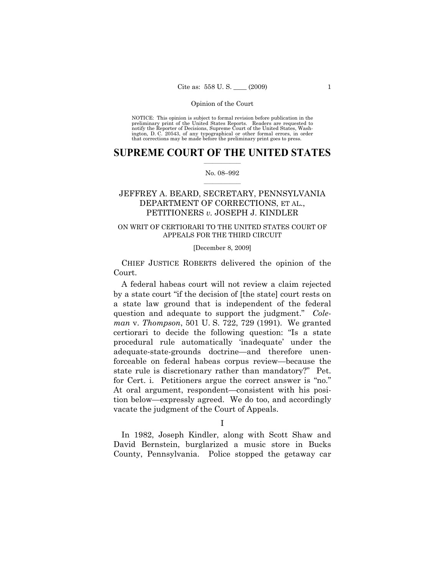NOTICE: This opinion is subject to formal revision before publication in the preliminary print of the United States Reports. Readers are requested to notify the Reporter of Decisions, Supreme Court of the United States, Washington, D. C. 20543, of any typographical or other formal errors, in order that corrections may be made before the preliminary print goes to press.

## $\frac{1}{2}$  ,  $\frac{1}{2}$  ,  $\frac{1}{2}$  ,  $\frac{1}{2}$  ,  $\frac{1}{2}$  ,  $\frac{1}{2}$  ,  $\frac{1}{2}$ **SUPREME COURT OF THE UNITED STATES**

#### $\frac{1}{2}$  ,  $\frac{1}{2}$  ,  $\frac{1}{2}$  ,  $\frac{1}{2}$  ,  $\frac{1}{2}$  ,  $\frac{1}{2}$ No. 08–992

## JEFFREY A. BEARD, SECRETARY, PENNSYLVANIA DEPARTMENT OF CORRECTIONS, ET AL., PETITIONERS *v.* JOSEPH J. KINDLER

## ON WRIT OF CERTIORARI TO THE UNITED STATES COURT OF APPEALS FOR THE THIRD CIRCUIT

### [December 8, 2009]

CHIEF JUSTICE ROBERTS delivered the opinion of the Court.

A federal habeas court will not review a claim rejected by a state court "if the decision of [the state] court rests on a state law ground that is independent of the federal question and adequate to support the judgment." *Coleman* v. *Thompson*, 501 U. S. 722, 729 (1991). We granted certiorari to decide the following question: "Is a state procedural rule automatically 'inadequate' under the adequate-state-grounds doctrine—and therefore unenforceable on federal habeas corpus review—because the state rule is discretionary rather than mandatory?" Pet. for Cert. i. Petitioners argue the correct answer is "no." At oral argument, respondent—consistent with his position below—expressly agreed. We do too, and accordingly vacate the judgment of the Court of Appeals.

I

In 1982, Joseph Kindler, along with Scott Shaw and David Bernstein, burglarized a music store in Bucks County, Pennsylvania. Police stopped the getaway car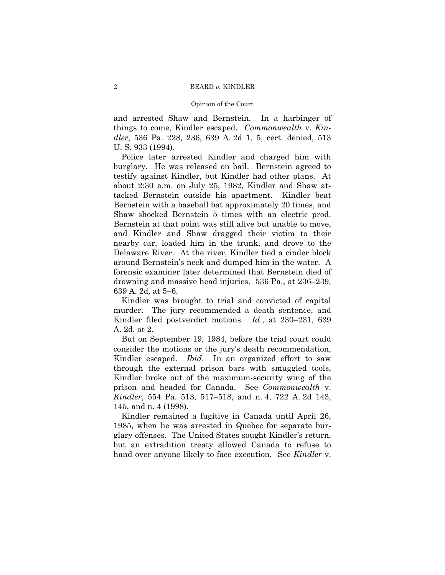and arrested Shaw and Bernstein. In a harbinger of things to come, Kindler escaped. *Commonwealth* v. *Kindler*, 536 Pa. 228, 236, 639 A. 2d 1, 5, cert. denied, 513 U. S. 933 (1994).

Police later arrested Kindler and charged him with burglary. He was released on bail. Bernstein agreed to testify against Kindler, but Kindler had other plans. At about 2:30 a.m. on July 25, 1982, Kindler and Shaw attacked Bernstein outside his apartment. Kindler beat Bernstein with a baseball bat approximately 20 times, and Shaw shocked Bernstein 5 times with an electric prod. Bernstein at that point was still alive but unable to move, and Kindler and Shaw dragged their victim to their nearby car, loaded him in the trunk, and drove to the Delaware River. At the river, Kindler tied a cinder block around Bernstein's neck and dumped him in the water. A forensic examiner later determined that Bernstein died of drowning and massive head injuries. 536 Pa., at 236–239, 639 A. 2d*,* at 5–6.

Kindler was brought to trial and convicted of capital murder. The jury recommended a death sentence, and Kindler filed postverdict motions. *Id*., at 230–231, 639 A. 2d, at 2.

But on September 19, 1984, before the trial court could consider the motions or the jury's death recommendation, Kindler escaped. *Ibid*. In an organized effort to saw through the external prison bars with smuggled tools, Kindler broke out of the maximum-security wing of the prison and headed for Canada. See *Commonwealth* v. *Kindler*, 554 Pa. 513, 517–518, and n. 4, 722 A. 2d 143, 145, and n. 4 (1998).

Kindler remained a fugitive in Canada until April 26, 1985, when he was arrested in Quebec for separate burglary offenses. The United States sought Kindler's return, but an extradition treaty allowed Canada to refuse to hand over anyone likely to face execution. See *Kindler* v.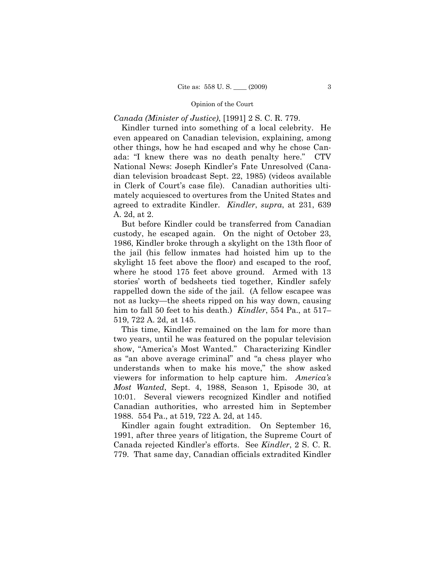## *Canada (Minister of Justice)*, [1991] 2 S. C. R. 779.

Kindler turned into something of a local celebrity. He even appeared on Canadian television, explaining, among other things, how he had escaped and why he chose Canada: "I knew there was no death penalty here." CTV National News: Joseph Kindler's Fate Unresolved (Canadian television broadcast Sept. 22, 1985) (videos available in Clerk of Court's case file). Canadian authorities ultimately acquiesced to overtures from the United States and agreed to extradite Kindler. *Kindler*, *supra*, at 231, 639 A. 2d, at 2.

But before Kindler could be transferred from Canadian custody, he escaped again. On the night of October 23, 1986, Kindler broke through a skylight on the 13th floor of the jail (his fellow inmates had hoisted him up to the skylight 15 feet above the floor) and escaped to the roof, where he stood 175 feet above ground. Armed with 13 stories' worth of bedsheets tied together, Kindler safely rappelled down the side of the jail. (A fellow escapee was not as lucky—the sheets ripped on his way down, causing him to fall 50 feet to his death.) *Kindler*, 554 Pa., at 517– 519, 722 A. 2d, at 145.

This time, Kindler remained on the lam for more than two years, until he was featured on the popular television show, "America's Most Wanted." Characterizing Kindler as "an above average criminal" and "a chess player who understands when to make his move," the show asked viewers for information to help capture him. *America's Most Wanted*, Sept. 4, 1988, Season 1, Episode 30, at 10:01. Several viewers recognized Kindler and notified Canadian authorities, who arrested him in September 1988. 554 Pa., at 519, 722 A. 2d, at 145.

Kindler again fought extradition. On September 16, 1991, after three years of litigation, the Supreme Court of Canada rejected Kindler's efforts. See *Kindler*, 2 S. C. R. 779. That same day, Canadian officials extradited Kindler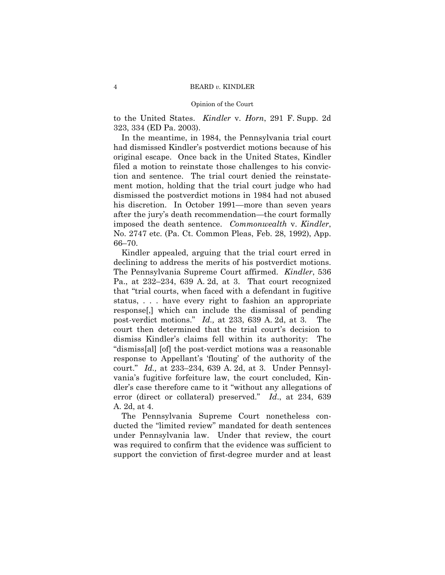to the United States. *Kindler* v. *Horn*, 291 F. Supp. 2d 323, 334 (ED Pa. 2003).

In the meantime, in 1984, the Pennsylvania trial court had dismissed Kindler's postverdict motions because of his original escape. Once back in the United States, Kindler filed a motion to reinstate those challenges to his conviction and sentence. The trial court denied the reinstatement motion, holding that the trial court judge who had dismissed the postverdict motions in 1984 had not abused his discretion. In October 1991—more than seven years after the jury's death recommendation—the court formally imposed the death sentence. *Commonwealth* v. *Kindler*, No. 2747 etc. (Pa. Ct. Common Pleas, Feb. 28, 1992), App. 66–70.

Kindler appealed, arguing that the trial court erred in declining to address the merits of his postverdict motions. The Pennsylvania Supreme Court affirmed. *Kindler*, 536 Pa., at 232–234, 639 A. 2d, at 3. That court recognized that "trial courts, when faced with a defendant in fugitive status, . . . have every right to fashion an appropriate response[,] which can include the dismissal of pending post-verdict motions." *Id.,* at 233, 639 A. 2d, at 3. The court then determined that the trial court's decision to dismiss Kindler's claims fell within its authority: The "dismiss[al] [of] the post-verdict motions was a reasonable response to Appellant's 'flouting' of the authority of the court." *Id.,* at 233–234, 639 A. 2d, at 3. Under Pennsylvania's fugitive forfeiture law, the court concluded, Kindler's case therefore came to it "without any allegations of error (direct or collateral) preserved." *Id*., at 234, 639 A. 2d, at 4.

The Pennsylvania Supreme Court nonetheless conducted the "limited review" mandated for death sentences under Pennsylvania law. Under that review, the court was required to confirm that the evidence was sufficient to support the conviction of first-degree murder and at least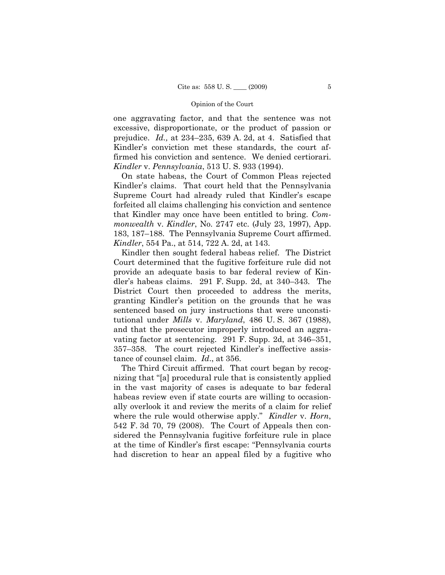one aggravating factor, and that the sentence was not excessive, disproportionate, or the product of passion or prejudice. *Id.,* at 234–235, 639 A. 2d, at 4. Satisfied that Kindler's conviction met these standards, the court affirmed his conviction and sentence. We denied certiorari. *Kindler* v. *Pennsylvania*, 513 U. S. 933 (1994).

On state habeas, the Court of Common Pleas rejected Kindler's claims. That court held that the Pennsylvania Supreme Court had already ruled that Kindler's escape forfeited all claims challenging his conviction and sentence that Kindler may once have been entitled to bring. *Commonwealth* v. *Kindler*, No. 2747 etc. (July 23, 1997), App. 183, 187–188. The Pennsylvania Supreme Court affirmed. *Kindler*, 554 Pa., at 514, 722 A. 2d, at 143.

Kindler then sought federal habeas relief. The District Court determined that the fugitive forfeiture rule did not provide an adequate basis to bar federal review of Kindler's habeas claims. 291 F. Supp. 2d, at 340–343. The District Court then proceeded to address the merits, granting Kindler's petition on the grounds that he was sentenced based on jury instructions that were unconstitutional under *Mills* v. *Maryland*, 486 U. S. 367 (1988), and that the prosecutor improperly introduced an aggravating factor at sentencing. 291 F. Supp. 2d, at 346–351, 357–358. The court rejected Kindler's ineffective assistance of counsel claim. *Id*., at 356.

The Third Circuit affirmed. That court began by recognizing that "[a] procedural rule that is consistently applied in the vast majority of cases is adequate to bar federal habeas review even if state courts are willing to occasionally overlook it and review the merits of a claim for relief where the rule would otherwise apply." *Kindler* v. *Horn*, 542 F. 3d 70, 79 (2008). The Court of Appeals then considered the Pennsylvania fugitive forfeiture rule in place at the time of Kindler's first escape: "Pennsylvania courts had discretion to hear an appeal filed by a fugitive who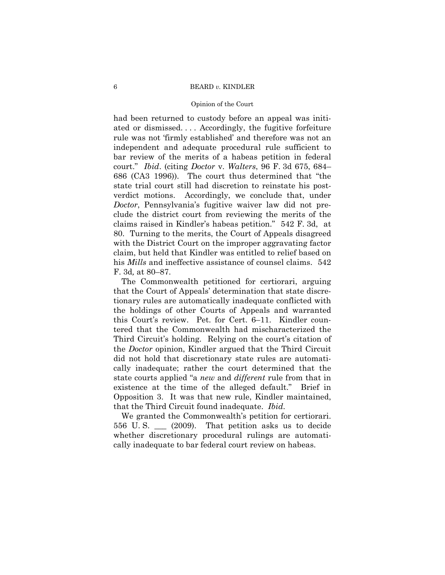#### 6 BEARD *v.* KINDLER

#### Opinion of the Court

had been returned to custody before an appeal was initiated or dismissed. . . . Accordingly, the fugitive forfeiture rule was not 'firmly established' and therefore was not an independent and adequate procedural rule sufficient to bar review of the merits of a habeas petition in federal court." *Ibid*. (citing *Doctor* v. *Walters*, 96 F. 3d 675, 684– 686 (CA3 1996)). The court thus determined that "the state trial court still had discretion to reinstate his postverdict motions. Accordingly, we conclude that, under *Doctor*, Pennsylvania's fugitive waiver law did not preclude the district court from reviewing the merits of the claims raised in Kindler's habeas petition." 542 F. 3d, at 80. Turning to the merits, the Court of Appeals disagreed with the District Court on the improper aggravating factor claim, but held that Kindler was entitled to relief based on his *Mills* and ineffective assistance of counsel claims. 542 F. 3d*,* at 80–87.

The Commonwealth petitioned for certiorari, arguing that the Court of Appeals' determination that state discretionary rules are automatically inadequate conflicted with the holdings of other Courts of Appeals and warranted this Court's review. Pet. for Cert. 6–11. Kindler countered that the Commonwealth had mischaracterized the Third Circuit's holding. Relying on the court's citation of the *Doctor* opinion, Kindler argued that the Third Circuit did not hold that discretionary state rules are automatically inadequate; rather the court determined that the state courts applied "a *new* and *different* rule from that in existence at the time of the alleged default." Brief in Opposition 3. It was that new rule, Kindler maintained, that the Third Circuit found inadequate. *Ibid*.

We granted the Commonwealth's petition for certiorari. 556 U. S. \_\_\_ (2009). That petition asks us to decide whether discretionary procedural rulings are automatically inadequate to bar federal court review on habeas.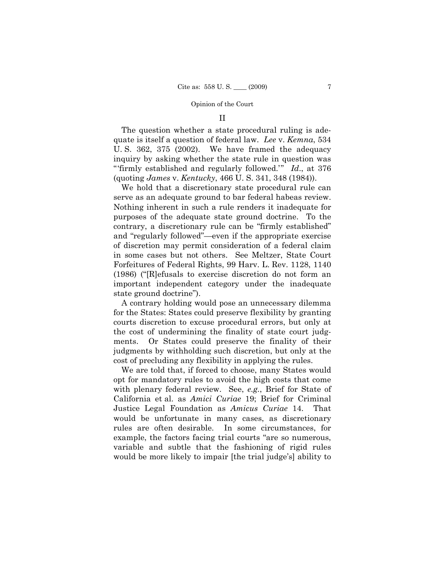### II

The question whether a state procedural ruling is adequate is itself a question of federal law. *Lee* v. *Kemna*, 534 U. S. 362, 375 (2002). We have framed the adequacy inquiry by asking whether the state rule in question was "'firmly established and regularly followed.'" *Id*., at 376 (quoting *James* v. *Kentucky*, 466 U. S. 341, 348 (1984)).

We hold that a discretionary state procedural rule can serve as an adequate ground to bar federal habeas review. Nothing inherent in such a rule renders it inadequate for purposes of the adequate state ground doctrine. To the contrary, a discretionary rule can be "firmly established" and "regularly followed"—even if the appropriate exercise of discretion may permit consideration of a federal claim in some cases but not others. See Meltzer, State Court Forfeitures of Federal Rights, 99 Harv. L. Rev. 1128, 1140 (1986) ("[R]efusals to exercise discretion do not form an important independent category under the inadequate state ground doctrine").

A contrary holding would pose an unnecessary dilemma for the States: States could preserve flexibility by granting courts discretion to excuse procedural errors, but only at the cost of undermining the finality of state court judgments. Or States could preserve the finality of their judgments by withholding such discretion, but only at the cost of precluding any flexibility in applying the rules.

We are told that, if forced to choose, many States would opt for mandatory rules to avoid the high costs that come with plenary federal review. See, *e.g.*, Brief for State of California et al. as *Amici Curiae* 19; Brief for Criminal Justice Legal Foundation as *Amicus Curiae* 14. That would be unfortunate in many cases, as discretionary rules are often desirable. In some circumstances, for example, the factors facing trial courts "are so numerous, variable and subtle that the fashioning of rigid rules would be more likely to impair [the trial judge's] ability to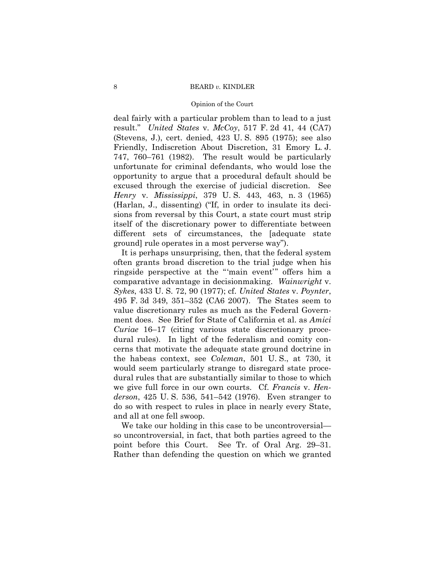### 8 BEARD *v.* KINDLER

#### Opinion of the Court

deal fairly with a particular problem than to lead to a just result." *United States* v. *McCoy*, 517 F. 2d 41, 44 (CA7) (Stevens, J.), cert. denied, 423 U. S. 895 (1975); see also Friendly, Indiscretion About Discretion, 31 Emory L. J. 747, 760–761 (1982). The result would be particularly unfortunate for criminal defendants, who would lose the opportunity to argue that a procedural default should be excused through the exercise of judicial discretion. See *Henry* v. *Mississippi*, 379 U. S. 443, 463, n. 3 (1965) (Harlan, J., dissenting) ("If, in order to insulate its decisions from reversal by this Court, a state court must strip itself of the discretionary power to differentiate between different sets of circumstances, the [adequate state ground] rule operates in a most perverse way").

It is perhaps unsurprising, then, that the federal system often grants broad discretion to the trial judge when his ringside perspective at the "'main event'" offers him a comparative advantage in decisionmaking. *Wainwright* v. *Sykes*, 433 U. S. 72, 90 (1977); cf. *United States* v. *Poynter*, 495 F. 3d 349, 351–352 (CA6 2007). The States seem to value discretionary rules as much as the Federal Government does. See Brief for State of California et al. as *Amici Curiae* 16–17 (citing various state discretionary procedural rules). In light of the federalism and comity concerns that motivate the adequate state ground doctrine in the habeas context, see *Coleman*, 501 U. S., at 730, it would seem particularly strange to disregard state procedural rules that are substantially similar to those to which we give full force in our own courts. Cf. *Francis* v. *Henderson*, 425 U. S. 536, 541–542 (1976). Even stranger to do so with respect to rules in place in nearly every State, and all at one fell swoop.

We take our holding in this case to be uncontroversial so uncontroversial, in fact, that both parties agreed to the point before this Court. See Tr. of Oral Arg. 29–31. Rather than defending the question on which we granted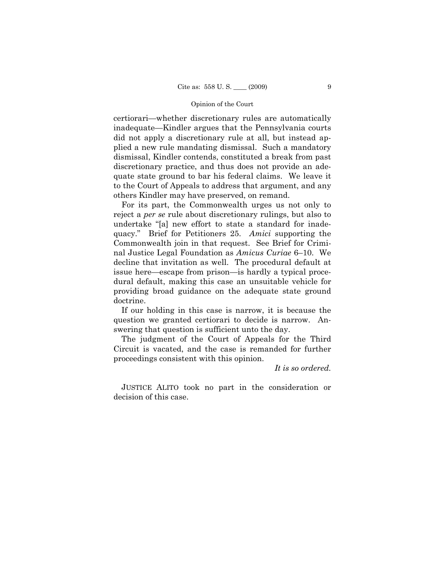certiorari—whether discretionary rules are automatically inadequate—Kindler argues that the Pennsylvania courts did not apply a discretionary rule at all, but instead applied a new rule mandating dismissal. Such a mandatory dismissal, Kindler contends, constituted a break from past discretionary practice, and thus does not provide an adequate state ground to bar his federal claims. We leave it to the Court of Appeals to address that argument, and any others Kindler may have preserved, on remand.

For its part, the Commonwealth urges us not only to reject a *per se* rule about discretionary rulings, but also to undertake "[a] new effort to state a standard for inadequacy." Brief for Petitioners 25. *Amici* supporting the Commonwealth join in that request. See Brief for Criminal Justice Legal Foundation as *Amicus Curiae* 6–10. We decline that invitation as well. The procedural default at issue here—escape from prison—is hardly a typical procedural default, making this case an unsuitable vehicle for providing broad guidance on the adequate state ground doctrine.

If our holding in this case is narrow, it is because the question we granted certiorari to decide is narrow. Answering that question is sufficient unto the day.

The judgment of the Court of Appeals for the Third Circuit is vacated, and the case is remanded for further proceedings consistent with this opinion.

*It is so ordered.*

 JUSTICE ALITO took no part in the consideration or decision of this case.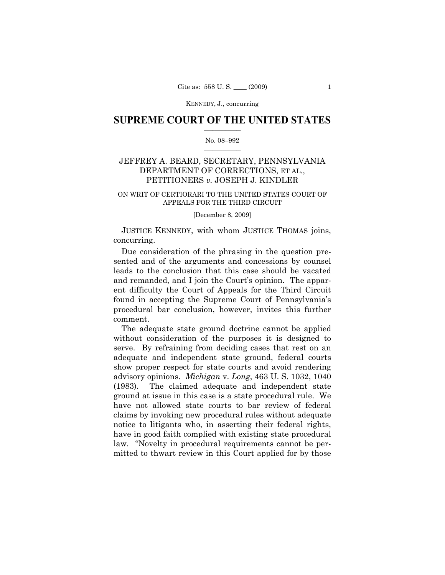## $\frac{1}{2}$  ,  $\frac{1}{2}$  ,  $\frac{1}{2}$  ,  $\frac{1}{2}$  ,  $\frac{1}{2}$  ,  $\frac{1}{2}$  ,  $\frac{1}{2}$ **SUPREME COURT OF THE UNITED STATES**

### $\frac{1}{2}$  ,  $\frac{1}{2}$  ,  $\frac{1}{2}$  ,  $\frac{1}{2}$  ,  $\frac{1}{2}$  ,  $\frac{1}{2}$ No. 08–992

## JEFFREY A. BEARD, SECRETARY, PENNSYLVANIA DEPARTMENT OF CORRECTIONS, ET AL., PETITIONERS *v.* JOSEPH J. KINDLER

## ON WRIT OF CERTIORARI TO THE UNITED STATES COURT OF APPEALS FOR THE THIRD CIRCUIT

#### [December 8, 2009]

JUSTICE KENNEDY, with whom JUSTICE THOMAS joins, concurring.

Due consideration of the phrasing in the question presented and of the arguments and concessions by counsel leads to the conclusion that this case should be vacated and remanded, and I join the Court's opinion. The apparent difficulty the Court of Appeals for the Third Circuit found in accepting the Supreme Court of Pennsylvania's procedural bar conclusion, however, invites this further comment.

The adequate state ground doctrine cannot be applied without consideration of the purposes it is designed to serve. By refraining from deciding cases that rest on an adequate and independent state ground, federal courts show proper respect for state courts and avoid rendering advisory opinions. *Michigan* v. *Long*, 463 U. S. 1032, 1040 (1983). The claimed adequate and independent state ground at issue in this case is a state procedural rule. We have not allowed state courts to bar review of federal claims by invoking new procedural rules without adequate notice to litigants who, in asserting their federal rights, have in good faith complied with existing state procedural law. "Novelty in procedural requirements cannot be permitted to thwart review in this Court applied for by those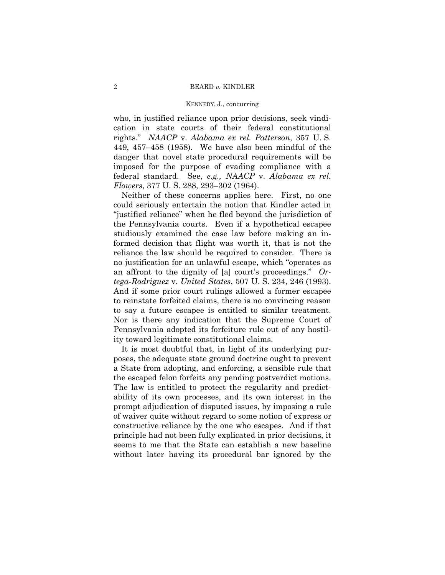who, in justified reliance upon prior decisions, seek vindication in state courts of their federal constitutional rights." *NAACP* v. *Alabama ex rel. Patterson*, 357 U. S. 449, 457–458 (1958). We have also been mindful of the danger that novel state procedural requirements will be imposed for the purpose of evading compliance with a federal standard. See, *e.g., NAACP* v. *Alabama ex rel. Flowers*, 377 U. S. 288, 293–302 (1964).

Neither of these concerns applies here. First, no one could seriously entertain the notion that Kindler acted in "justified reliance" when he fled beyond the jurisdiction of the Pennsylvania courts. Even if a hypothetical escapee studiously examined the case law before making an informed decision that flight was worth it, that is not the reliance the law should be required to consider. There is no justification for an unlawful escape, which "operates as an affront to the dignity of [a] court's proceedings." *Ortega-Rodriguez* v. *United States*, 507 U. S. 234, 246 (1993). And if some prior court rulings allowed a former escapee to reinstate forfeited claims, there is no convincing reason to say a future escapee is entitled to similar treatment. Nor is there any indication that the Supreme Court of Pennsylvania adopted its forfeiture rule out of any hostility toward legitimate constitutional claims.

It is most doubtful that, in light of its underlying purposes, the adequate state ground doctrine ought to prevent a State from adopting, and enforcing, a sensible rule that the escaped felon forfeits any pending postverdict motions. The law is entitled to protect the regularity and predictability of its own processes, and its own interest in the prompt adjudication of disputed issues, by imposing a rule of waiver quite without regard to some notion of express or constructive reliance by the one who escapes. And if that principle had not been fully explicated in prior decisions, it seems to me that the State can establish a new baseline without later having its procedural bar ignored by the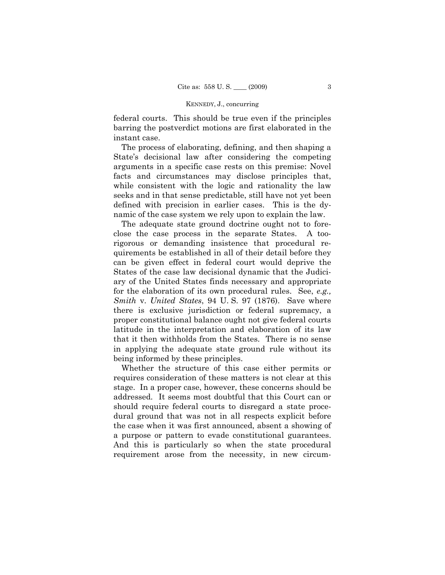federal courts. This should be true even if the principles barring the postverdict motions are first elaborated in the instant case.

The process of elaborating, defining, and then shaping a State's decisional law after considering the competing arguments in a specific case rests on this premise: Novel facts and circumstances may disclose principles that, while consistent with the logic and rationality the law seeks and in that sense predictable, still have not yet been defined with precision in earlier cases. This is the dynamic of the case system we rely upon to explain the law.

The adequate state ground doctrine ought not to foreclose the case process in the separate States. A toorigorous or demanding insistence that procedural requirements be established in all of their detail before they can be given effect in federal court would deprive the States of the case law decisional dynamic that the Judiciary of the United States finds necessary and appropriate for the elaboration of its own procedural rules. See, *e.g., Smith* v. *United States*, 94 U. S. 97 (1876). Save where there is exclusive jurisdiction or federal supremacy, a proper constitutional balance ought not give federal courts latitude in the interpretation and elaboration of its law that it then withholds from the States. There is no sense in applying the adequate state ground rule without its being informed by these principles.

Whether the structure of this case either permits or requires consideration of these matters is not clear at this stage. In a proper case, however, these concerns should be addressed. It seems most doubtful that this Court can or should require federal courts to disregard a state procedural ground that was not in all respects explicit before the case when it was first announced, absent a showing of a purpose or pattern to evade constitutional guarantees. And this is particularly so when the state procedural requirement arose from the necessity, in new circum-